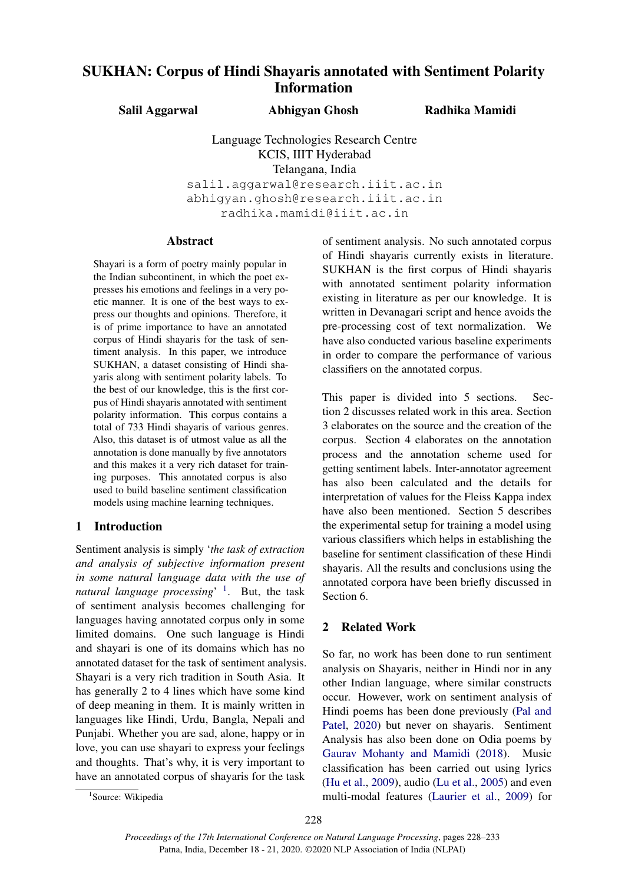# SUKHAN: Corpus of Hindi Shayaris annotated with Sentiment Polarity Information

Salil Aggarwal

Abhigyan Ghosh Radhika Mamidi

Language Technologies Research Centre KCIS, IIIT Hyderabad Telangana, India salil.aggarwal@research.iiit.ac.in abhigyan.ghosh@research.iiit.ac.in radhika.mamidi@iiit.ac.in

# Abstract

Shayari is a form of poetry mainly popular in the Indian subcontinent, in which the poet expresses his emotions and feelings in a very poetic manner. It is one of the best ways to express our thoughts and opinions. Therefore, it is of prime importance to have an annotated corpus of Hindi shayaris for the task of sentiment analysis. In this paper, we introduce SUKHAN, a dataset consisting of Hindi shayaris along with sentiment polarity labels. To the best of our knowledge, this is the first corpus of Hindi shayaris annotated with sentiment polarity information. This corpus contains a total of 733 Hindi shayaris of various genres. Also, this dataset is of utmost value as all the annotation is done manually by five annotators and this makes it a very rich dataset for training purposes. This annotated corpus is also used to build baseline sentiment classification models using machine learning techniques.

# 1 Introduction

Sentiment analysis is simply '*the task of extraction and analysis of subjective information present in some natural language data with the use of natural language processing*' [1](#page-0-0) . But, the task of sentiment analysis becomes challenging for languages having annotated corpus only in some limited domains. One such language is Hindi and shayari is one of its domains which has no annotated dataset for the task of sentiment analysis. Shayari is a very rich tradition in South Asia. It has generally 2 to 4 lines which have some kind of deep meaning in them. It is mainly written in languages like Hindi, Urdu, Bangla, Nepali and Punjabi. Whether you are sad, alone, happy or in love, you can use shayari to express your feelings and thoughts. That's why, it is very important to have an annotated corpus of shayaris for the task

of sentiment analysis. No such annotated corpus of Hindi shayaris currently exists in literature. SUKHAN is the first corpus of Hindi shayaris with annotated sentiment polarity information existing in literature as per our knowledge. It is written in Devanagari script and hence avoids the pre-processing cost of text normalization. We have also conducted various baseline experiments in order to compare the performance of various classifiers on the annotated corpus.

This paper is divided into 5 sections. Section 2 discusses related work in this area. Section 3 elaborates on the source and the creation of the corpus. Section 4 elaborates on the annotation process and the annotation scheme used for getting sentiment labels. Inter-annotator agreement has also been calculated and the details for interpretation of values for the Fleiss Kappa index have also been mentioned. Section 5 describes the experimental setup for training a model using various classifiers which helps in establishing the baseline for sentiment classification of these Hindi shayaris. All the results and conclusions using the annotated corpora have been briefly discussed in Section 6.

## 2 Related Work

So far, no work has been done to run sentiment analysis on Shayaris, neither in Hindi nor in any other Indian language, where similar constructs occur. However, work on sentiment analysis of Hindi poems has been done previously [\(Pal and](#page-5-0) [Patel,](#page-5-0) [2020\)](#page-5-0) but never on shayaris. Sentiment Analysis has also been done on Odia poems by [Gaurav Mohanty and Mamidi](#page-5-1) [\(2018\)](#page-5-1). Music classification has been carried out using lyrics [\(Hu et al.,](#page-5-2) [2009\)](#page-5-2), audio [\(Lu et al.,](#page-5-3) [2005\)](#page-5-3) and even multi-modal features [\(Laurier et al.,](#page-5-4) [2009\)](#page-5-4) for

<span id="page-0-0"></span><sup>&</sup>lt;sup>1</sup>Source: Wikipedia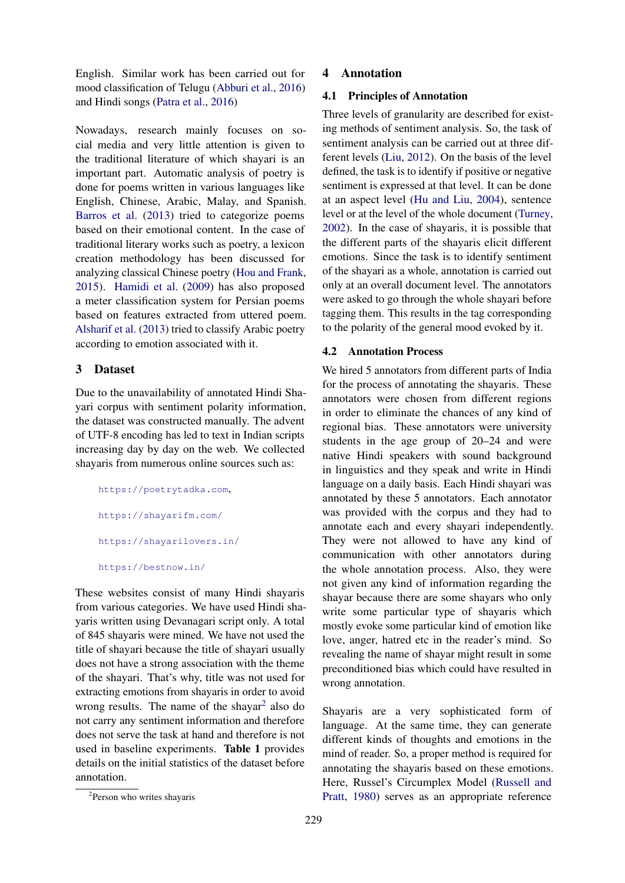English. Similar work has been carried out for mood classification of Telugu [\(Abburi et al.,](#page-5-5) [2016\)](#page-5-5) and Hindi songs [\(Patra et al.,](#page-5-6) [2016\)](#page-5-6)

Nowadays, research mainly focuses on social media and very little attention is given to the traditional literature of which shayari is an important part. Automatic analysis of poetry is done for poems written in various languages like English, Chinese, Arabic, Malay, and Spanish. [Barros et al.](#page-5-7) [\(2013\)](#page-5-7) tried to categorize poems based on their emotional content. In the case of traditional literary works such as poetry, a lexicon creation methodology has been discussed for analyzing classical Chinese poetry [\(Hou and Frank,](#page-5-8) [2015\)](#page-5-8). [Hamidi et al.](#page-5-9) [\(2009\)](#page-5-9) has also proposed a meter classification system for Persian poems based on features extracted from uttered poem. [Alsharif et al.](#page-5-10) [\(2013\)](#page-5-10) tried to classify Arabic poetry according to emotion associated with it.

## 3 Dataset

Due to the unavailability of annotated Hindi Shayari corpus with sentiment polarity information, the dataset was constructed manually. The advent of UTF-8 encoding has led to text in Indian scripts increasing day by day on the web. We collected shayaris from numerous online sources such as:

```
https://poetrytadka.com,
https://shayarifm.com/
https://shayarilovers.in/
https://bestnow.in/
```
These websites consist of many Hindi shayaris from various categories. We have used Hindi shayaris written using Devanagari script only. A total of 845 shayaris were mined. We have not used the title of shayari because the title of shayari usually does not have a strong association with the theme of the shayari. That's why, title was not used for extracting emotions from shayaris in order to avoid wrong results. The name of the shayar<sup>[2](#page-1-0)</sup> also do not carry any sentiment information and therefore does not serve the task at hand and therefore is not used in baseline experiments. Table 1 provides details on the initial statistics of the dataset before annotation.

#### 4 Annotation

### 4.1 Principles of Annotation

Three levels of granularity are described for existing methods of sentiment analysis. So, the task of sentiment analysis can be carried out at three different levels [\(Liu,](#page-5-11) [2012\)](#page-5-11). On the basis of the level defined, the task is to identify if positive or negative sentiment is expressed at that level. It can be done at an aspect level [\(Hu and Liu,](#page-5-12) [2004\)](#page-5-12), sentence level or at the level of the whole document [\(Turney,](#page-5-13) [2002\)](#page-5-13). In the case of shayaris, it is possible that the different parts of the shayaris elicit different emotions. Since the task is to identify sentiment of the shayari as a whole, annotation is carried out only at an overall document level. The annotators were asked to go through the whole shayari before tagging them. This results in the tag corresponding to the polarity of the general mood evoked by it.

#### 4.2 Annotation Process

We hired 5 annotators from different parts of India for the process of annotating the shayaris. These annotators were chosen from different regions in order to eliminate the chances of any kind of regional bias. These annotators were university students in the age group of 20–24 and were native Hindi speakers with sound background in linguistics and they speak and write in Hindi language on a daily basis. Each Hindi shayari was annotated by these 5 annotators. Each annotator was provided with the corpus and they had to annotate each and every shayari independently. They were not allowed to have any kind of communication with other annotators during the whole annotation process. Also, they were not given any kind of information regarding the shayar because there are some shayars who only write some particular type of shayaris which mostly evoke some particular kind of emotion like love, anger, hatred etc in the reader's mind. So revealing the name of shayar might result in some preconditioned bias which could have resulted in wrong annotation.

Shayaris are a very sophisticated form of language. At the same time, they can generate different kinds of thoughts and emotions in the mind of reader. So, a proper method is required for annotating the shayaris based on these emotions. Here, Russel's Circumplex Model [\(Russell and](#page-5-14) [Pratt,](#page-5-14) [1980\)](#page-5-14) serves as an appropriate reference

<span id="page-1-0"></span><sup>2</sup> Person who writes shayaris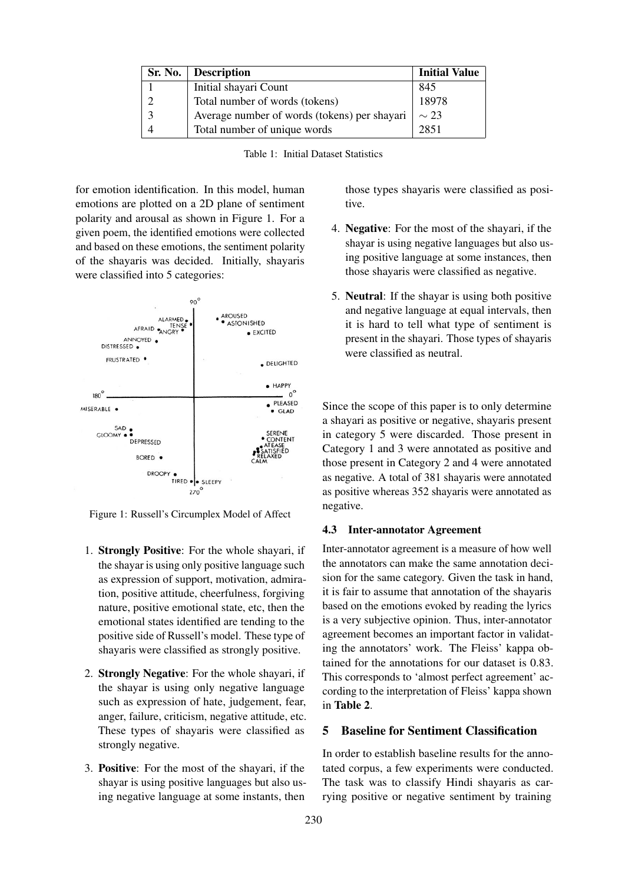| <b>Sr. No.</b> Description                   | <b>Initial Value</b> |
|----------------------------------------------|----------------------|
| Initial shayari Count                        | 845                  |
| Total number of words (tokens)               | 18978                |
| Average number of words (tokens) per shayari | $\sim$ 23            |
| Total number of unique words                 | 2851                 |

for emotion identification. In this model, human emotions are plotted on a 2D plane of sentiment polarity and arousal as shown in Figure 1. For a given poem, the identified emotions were collected and based on these emotions, the sentiment polarity of the shayaris was decided. Initially, shayaris were classified into 5 categories:



Figure 1: Russell's Circumplex Model of Affect

- 1. Strongly Positive: For the whole shayari, if the shayar is using only positive language such as expression of support, motivation, admiration, positive attitude, cheerfulness, forgiving nature, positive emotional state, etc, then the emotional states identified are tending to the positive side of Russell's model. These type of shayaris were classified as strongly positive.
- 2. Strongly Negative: For the whole shayari, if the shayar is using only negative language such as expression of hate, judgement, fear, anger, failure, criticism, negative attitude, etc. These types of shayaris were classified as strongly negative.
- 3. Positive: For the most of the shayari, if the shayar is using positive languages but also using negative language at some instants, then

those types shayaris were classified as positive.

- 4. Negative: For the most of the shayari, if the shayar is using negative languages but also using positive language at some instances, then those shayaris were classified as negative.
- 5. Neutral: If the shayar is using both positive and negative language at equal intervals, then it is hard to tell what type of sentiment is present in the shayari. Those types of shayaris were classified as neutral.

Since the scope of this paper is to only determine a shayari as positive or negative, shayaris present in category 5 were discarded. Those present in Category 1 and 3 were annotated as positive and those present in Category 2 and 4 were annotated as negative. A total of 381 shayaris were annotated as positive whereas 352 shayaris were annotated as negative.

#### 4.3 Inter-annotator Agreement

Inter-annotator agreement is a measure of how well the annotators can make the same annotation decision for the same category. Given the task in hand, it is fair to assume that annotation of the shayaris based on the emotions evoked by reading the lyrics is a very subjective opinion. Thus, inter-annotator agreement becomes an important factor in validating the annotators' work. The Fleiss' kappa obtained for the annotations for our dataset is 0.83. This corresponds to 'almost perfect agreement' according to the interpretation of Fleiss' kappa shown in Table 2.

# 5 Baseline for Sentiment Classification

In order to establish baseline results for the annotated corpus, a few experiments were conducted. The task was to classify Hindi shayaris as carrying positive or negative sentiment by training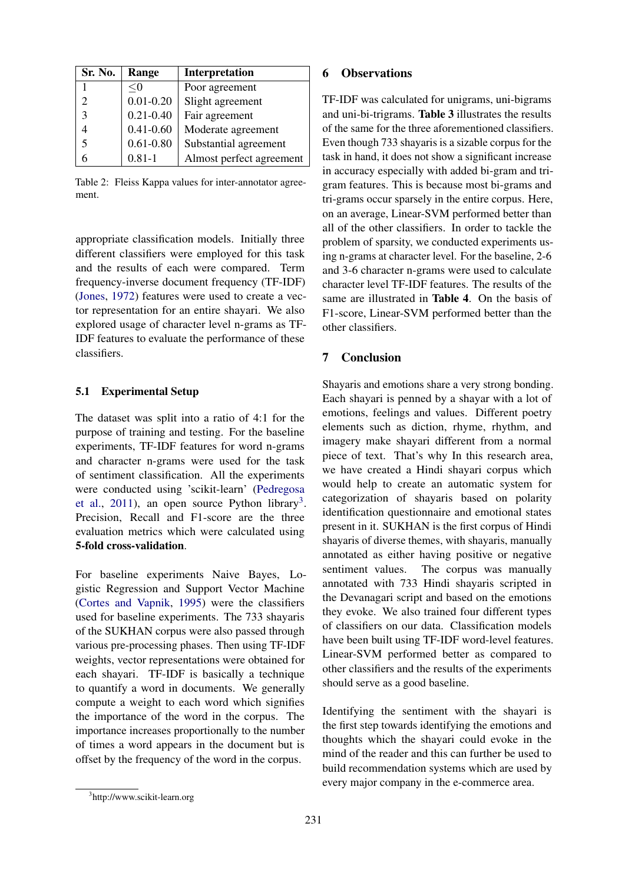| Sr. No.                     | Range         | <b>Interpretation</b>    |
|-----------------------------|---------------|--------------------------|
|                             | < 0           | Poor agreement           |
| $\mathcal{D}_{\mathcal{A}}$ | $0.01 - 0.20$ | Slight agreement         |
| 3                           | $0.21 - 0.40$ | Fair agreement           |
|                             | $0.41 - 0.60$ | Moderate agreement       |
| $\overline{\mathcal{L}}$    | $0.61 - 0.80$ | Substantial agreement    |
|                             | $0.81 - 1$    | Almost perfect agreement |

Table 2: Fleiss Kappa values for inter-annotator agreement.

appropriate classification models. Initially three different classifiers were employed for this task and the results of each were compared. Term frequency-inverse document frequency (TF-IDF) [\(Jones,](#page-5-15) [1972\)](#page-5-15) features were used to create a vector representation for an entire shayari. We also explored usage of character level n-grams as TF-IDF features to evaluate the performance of these classifiers.

#### 5.1 Experimental Setup

The dataset was split into a ratio of 4:1 for the purpose of training and testing. For the baseline experiments, TF-IDF features for word n-grams and character n-grams were used for the task of sentiment classification. All the experiments were conducted using 'scikit-learn' [\(Pedregosa](#page-5-16) [et al.,](#page-5-16) [2011\)](#page-5-16), an open source Python library<sup>[3](#page-3-0)</sup>. Precision, Recall and F1-score are the three evaluation metrics which were calculated using 5-fold cross-validation.

For baseline experiments Naive Bayes, Logistic Regression and Support Vector Machine [\(Cortes and Vapnik,](#page-5-17) [1995\)](#page-5-17) were the classifiers used for baseline experiments. The 733 shayaris of the SUKHAN corpus were also passed through various pre-processing phases. Then using TF-IDF weights, vector representations were obtained for each shayari. TF-IDF is basically a technique to quantify a word in documents. We generally compute a weight to each word which signifies the importance of the word in the corpus. The importance increases proportionally to the number of times a word appears in the document but is offset by the frequency of the word in the corpus.

## 6 Observations

TF-IDF was calculated for unigrams, uni-bigrams and uni-bi-trigrams. Table 3 illustrates the results of the same for the three aforementioned classifiers. Even though 733 shayaris is a sizable corpus for the task in hand, it does not show a significant increase in accuracy especially with added bi-gram and trigram features. This is because most bi-grams and tri-grams occur sparsely in the entire corpus. Here, on an average, Linear-SVM performed better than all of the other classifiers. In order to tackle the problem of sparsity, we conducted experiments using n-grams at character level. For the baseline, 2-6 and 3-6 character n-grams were used to calculate character level TF-IDF features. The results of the same are illustrated in Table 4. On the basis of F1-score, Linear-SVM performed better than the other classifiers.

# 7 Conclusion

Shayaris and emotions share a very strong bonding. Each shayari is penned by a shayar with a lot of emotions, feelings and values. Different poetry elements such as diction, rhyme, rhythm, and imagery make shayari different from a normal piece of text. That's why In this research area, we have created a Hindi shayari corpus which would help to create an automatic system for categorization of shayaris based on polarity identification questionnaire and emotional states present in it. SUKHAN is the first corpus of Hindi shayaris of diverse themes, with shayaris, manually annotated as either having positive or negative sentiment values. The corpus was manually annotated with 733 Hindi shayaris scripted in the Devanagari script and based on the emotions they evoke. We also trained four different types of classifiers on our data. Classification models have been built using TF-IDF word-level features. Linear-SVM performed better as compared to other classifiers and the results of the experiments should serve as a good baseline.

Identifying the sentiment with the shayari is the first step towards identifying the emotions and thoughts which the shayari could evoke in the mind of the reader and this can further be used to build recommendation systems which are used by every major company in the e-commerce area.

<span id="page-3-0"></span><sup>3</sup> http://www.scikit-learn.org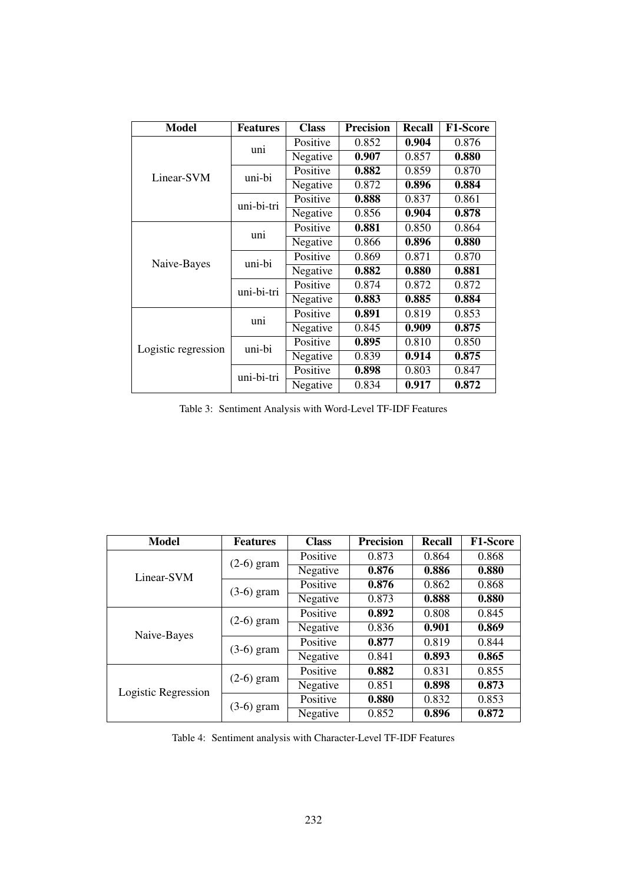| <b>Model</b>        | <b>Features</b> | <b>Class</b> | <b>Precision</b> | <b>Recall</b> | <b>F1-Score</b> |
|---------------------|-----------------|--------------|------------------|---------------|-----------------|
|                     | uni             | Positive     | 0.852            | 0.904         | 0.876           |
|                     |                 | Negative     | 0.907            | 0.857         | 0.880           |
| Linear-SVM          | uni-bi          | Positive     | 0.882            | 0.859         | 0.870           |
|                     |                 | Negative     | 0.872            | 0.896         | 0.884           |
|                     | uni-bi-tri      | Positive     | 0.888            | 0.837         | 0.861           |
|                     |                 | Negative     | 0.856            | 0.904         | 0.878           |
|                     | uni             | Positive     | 0.881            | 0.850         | 0.864           |
|                     |                 | Negative     | 0.866            | 0.896         | 0.880           |
| Naive-Bayes         | uni-bi          | Positive     | 0.869            | 0.871         | 0.870           |
|                     |                 | Negative     | 0.882            | 0.880         | 0.881           |
|                     | uni-bi-tri      | Positive     | 0.874            | 0.872         | 0.872           |
|                     |                 | Negative     | 0.883            | 0.885         | 0.884           |
|                     | uni             | Positive     | 0.891            | 0.819         | 0.853           |
|                     |                 | Negative     | 0.845            | 0.909         | 0.875           |
| Logistic regression | uni-bi          | Positive     | 0.895            | 0.810         | 0.850           |
|                     |                 | Negative     | 0.839            | 0.914         | 0.875           |
|                     | uni-bi-tri      | Positive     | 0.898            | 0.803         | 0.847           |
|                     |                 | Negative     | 0.834            | 0.917         | 0.872           |

Table 3: Sentiment Analysis with Word-Level TF-IDF Features

| <b>Model</b>        | <b>Features</b> | <b>Class</b> | <b>Precision</b> | <b>Recall</b> | <b>F1-Score</b> |
|---------------------|-----------------|--------------|------------------|---------------|-----------------|
|                     | $(2-6)$ gram    | Positive     | 0.873            | 0.864         | 0.868           |
| Linear-SVM          |                 | Negative     | 0.876            | 0.886         | 0.880           |
|                     | $(3-6)$ gram    | Positive     | 0.876            | 0.862         | 0.868           |
|                     |                 | Negative     | 0.873            | 0.888         | 0.880           |
|                     | $(2-6)$ gram    | Positive     | 0.892            | 0.808         | 0.845           |
| Naive-Bayes         |                 | Negative     | 0.836            | 0.901         | 0.869           |
|                     | $(3-6)$ gram    | Positive     | 0.877            | 0.819         | 0.844           |
|                     |                 | Negative     | 0.841            | 0.893         | 0.865           |
|                     | $(2-6)$ gram    | Positive     | 0.882            | 0.831         | 0.855           |
| Logistic Regression |                 | Negative     | 0.851            | 0.898         | 0.873           |
|                     | $(3-6)$ gram    | Positive     | 0.880            | 0.832         | 0.853           |
|                     |                 | Negative     | 0.852            | 0.896         | 0.872           |

Table 4: Sentiment analysis with Character-Level TF-IDF Features